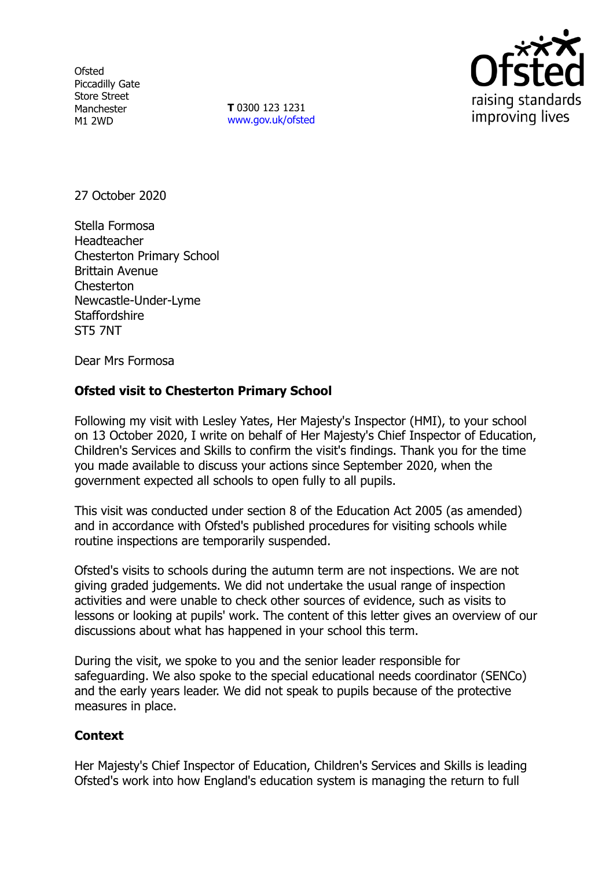**Ofsted** Piccadilly Gate Store Street Manchester M1 2WD

**T** 0300 123 1231 [www.gov.uk/ofsted](http://www.gov.uk/ofsted)



27 October 2020

Stella Formosa Headteacher Chesterton Primary School Brittain Avenue **Chesterton** Newcastle-Under-Lyme **Staffordshire** ST5 7NT

Dear Mrs Formosa

## **Ofsted visit to Chesterton Primary School**

Following my visit with Lesley Yates, Her Majesty's Inspector (HMI), to your school on 13 October 2020, I write on behalf of Her Majesty's Chief Inspector of Education, Children's Services and Skills to confirm the visit's findings. Thank you for the time you made available to discuss your actions since September 2020, when the government expected all schools to open fully to all pupils.

This visit was conducted under section 8 of the Education Act 2005 (as amended) and in accordance with Ofsted's published procedures for visiting schools while routine inspections are temporarily suspended.

Ofsted's visits to schools during the autumn term are not inspections. We are not giving graded judgements. We did not undertake the usual range of inspection activities and were unable to check other sources of evidence, such as visits to lessons or looking at pupils' work. The content of this letter gives an overview of our discussions about what has happened in your school this term.

During the visit, we spoke to you and the senior leader responsible for safeguarding. We also spoke to the special educational needs coordinator (SENCo) and the early years leader. We did not speak to pupils because of the protective measures in place.

## **Context**

Her Majesty's Chief Inspector of Education, Children's Services and Skills is leading Ofsted's work into how England's education system is managing the return to full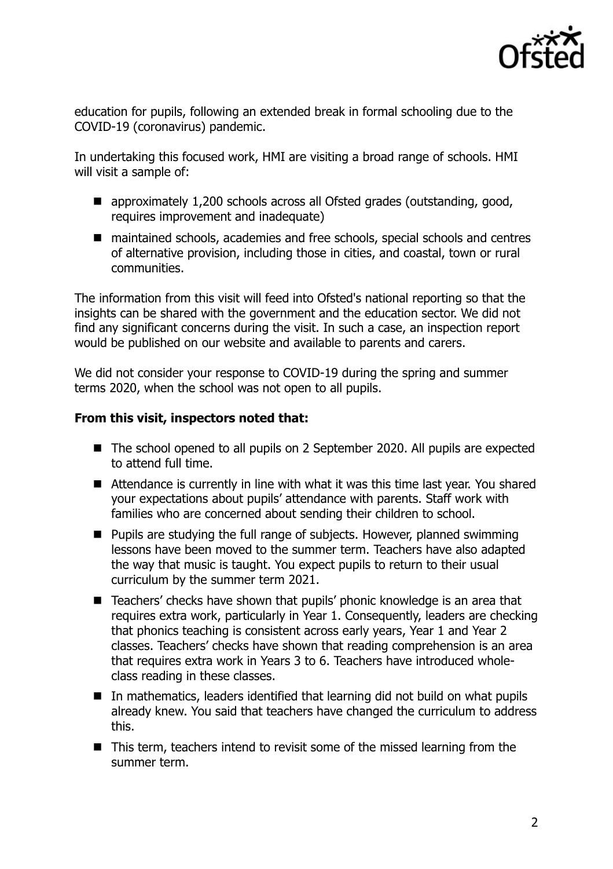

education for pupils, following an extended break in formal schooling due to the COVID-19 (coronavirus) pandemic.

In undertaking this focused work, HMI are visiting a broad range of schools. HMI will visit a sample of:

- approximately 1,200 schools across all Ofsted grades (outstanding, good, requires improvement and inadequate)
- maintained schools, academies and free schools, special schools and centres of alternative provision, including those in cities, and coastal, town or rural communities.

The information from this visit will feed into Ofsted's national reporting so that the insights can be shared with the government and the education sector. We did not find any significant concerns during the visit. In such a case, an inspection report would be published on our website and available to parents and carers.

We did not consider your response to COVID-19 during the spring and summer terms 2020, when the school was not open to all pupils.

## **From this visit, inspectors noted that:**

- The school opened to all pupils on 2 September 2020. All pupils are expected to attend full time.
- Attendance is currently in line with what it was this time last year. You shared your expectations about pupils' attendance with parents. Staff work with families who are concerned about sending their children to school.
- $\blacksquare$  Pupils are studying the full range of subjects. However, planned swimming lessons have been moved to the summer term. Teachers have also adapted the way that music is taught. You expect pupils to return to their usual curriculum by the summer term 2021.
- Teachers' checks have shown that pupils' phonic knowledge is an area that requires extra work, particularly in Year 1. Consequently, leaders are checking that phonics teaching is consistent across early years, Year 1 and Year 2 classes. Teachers' checks have shown that reading comprehension is an area that requires extra work in Years 3 to 6. Teachers have introduced wholeclass reading in these classes.
- In mathematics, leaders identified that learning did not build on what pupils already knew. You said that teachers have changed the curriculum to address this.
- This term, teachers intend to revisit some of the missed learning from the summer term.